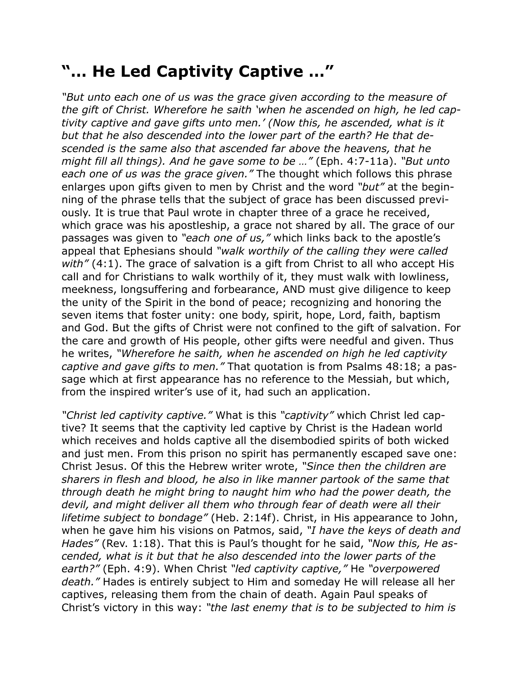## **"… He Led Captivity Captive …"**

*"But unto each one of us was the grace given according to the measure of the gift of Christ. Wherefore he saith 'when he ascended on high, he led captivity captive and gave gifts unto men.' (Now this, he ascended, what is it but that he also descended into the lower part of the earth? He that descended is the same also that ascended far above the heavens, that he might fill all things). And he gave some to be …"* (Eph. 4:7-11a). *"But unto each one of us was the grace given."* The thought which follows this phrase enlarges upon gifts given to men by Christ and the word *"but"* at the beginning of the phrase tells that the subject of grace has been discussed previously. It is true that Paul wrote in chapter three of a grace he received, which grace was his apostleship, a grace not shared by all. The grace of our passages was given to *"each one of us,"* which links back to the apostle's appeal that Ephesians should *"walk worthily of the calling they were called with"* (4:1). The grace of salvation is a gift from Christ to all who accept His call and for Christians to walk worthily of it, they must walk with lowliness, meekness, longsuffering and forbearance, AND must give diligence to keep the unity of the Spirit in the bond of peace; recognizing and honoring the seven items that foster unity: one body, spirit, hope, Lord, faith, baptism and God. But the gifts of Christ were not confined to the gift of salvation. For the care and growth of His people, other gifts were needful and given. Thus he writes, *"Wherefore he saith, when he ascended on high he led captivity captive and gave gifts to men."* That quotation is from Psalms 48:18; a passage which at first appearance has no reference to the Messiah, but which, from the inspired writer's use of it, had such an application.

*"Christ led captivity captive."* What is this *"captivity"* which Christ led captive? It seems that the captivity led captive by Christ is the Hadean world which receives and holds captive all the disembodied spirits of both wicked and just men. From this prison no spirit has permanently escaped save one: Christ Jesus. Of this the Hebrew writer wrote, *"Since then the children are sharers in flesh and blood, he also in like manner partook of the same that through death he might bring to naught him who had the power death, the devil, and might deliver all them who through fear of death were all their lifetime subject to bondage"* (Heb. 2:14f). Christ, in His appearance to John, when he gave him his visions on Patmos, said, *"I have the keys of death and Hades"* (Rev. 1:18). That this is Paul's thought for he said, *"Now this, He ascended, what is it but that he also descended into the lower parts of the earth?"* (Eph. 4:9). When Christ *"led captivity captive,"* He *"overpowered death."* Hades is entirely subject to Him and someday He will release all her captives, releasing them from the chain of death. Again Paul speaks of Christ's victory in this way: *"the last enemy that is to be subjected to him is*